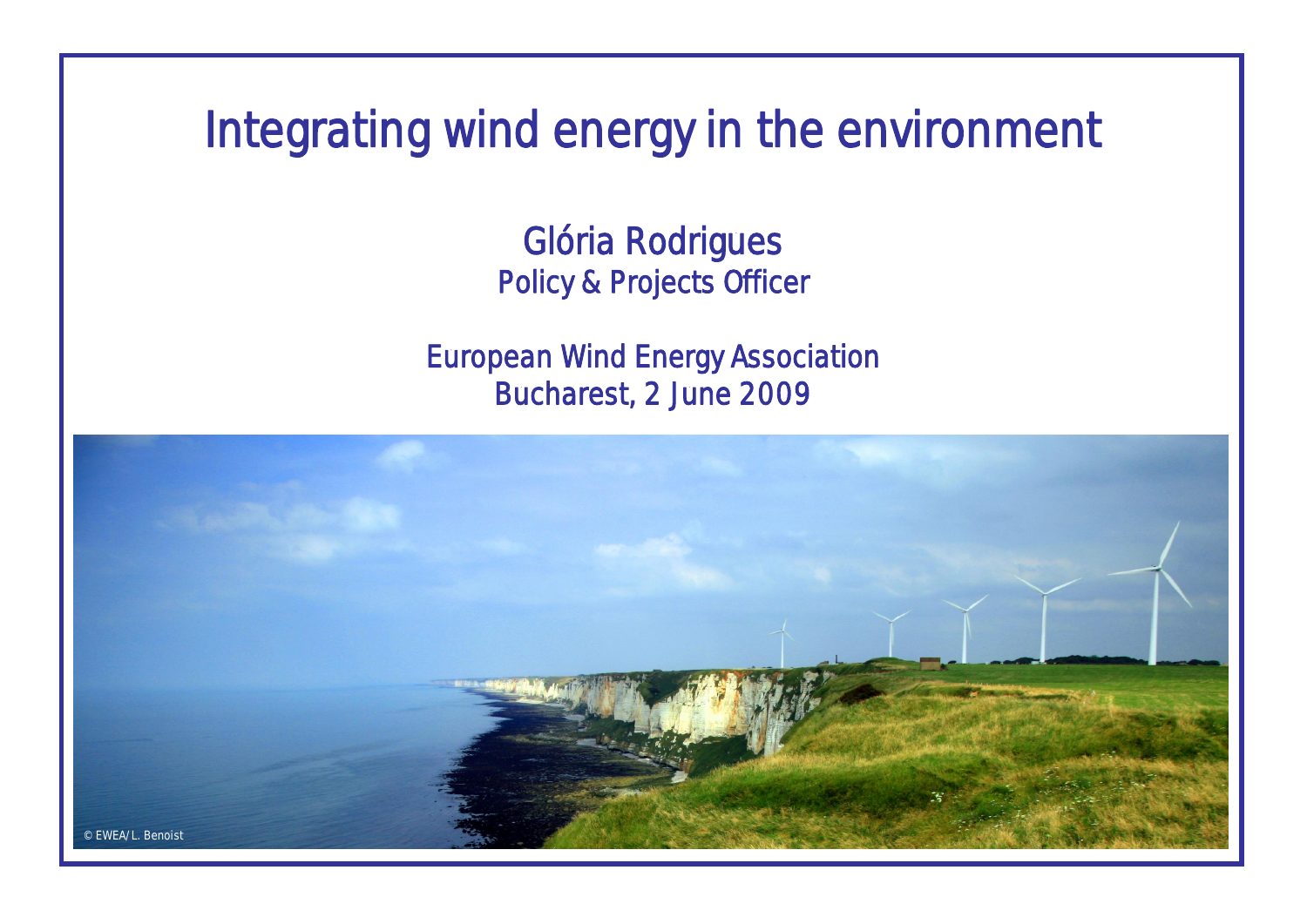Integrating wind energy in the environment

Glória Rodrigues Policy & Projects Officer

European Wind Energy Association Bucharest, 2 June 2009

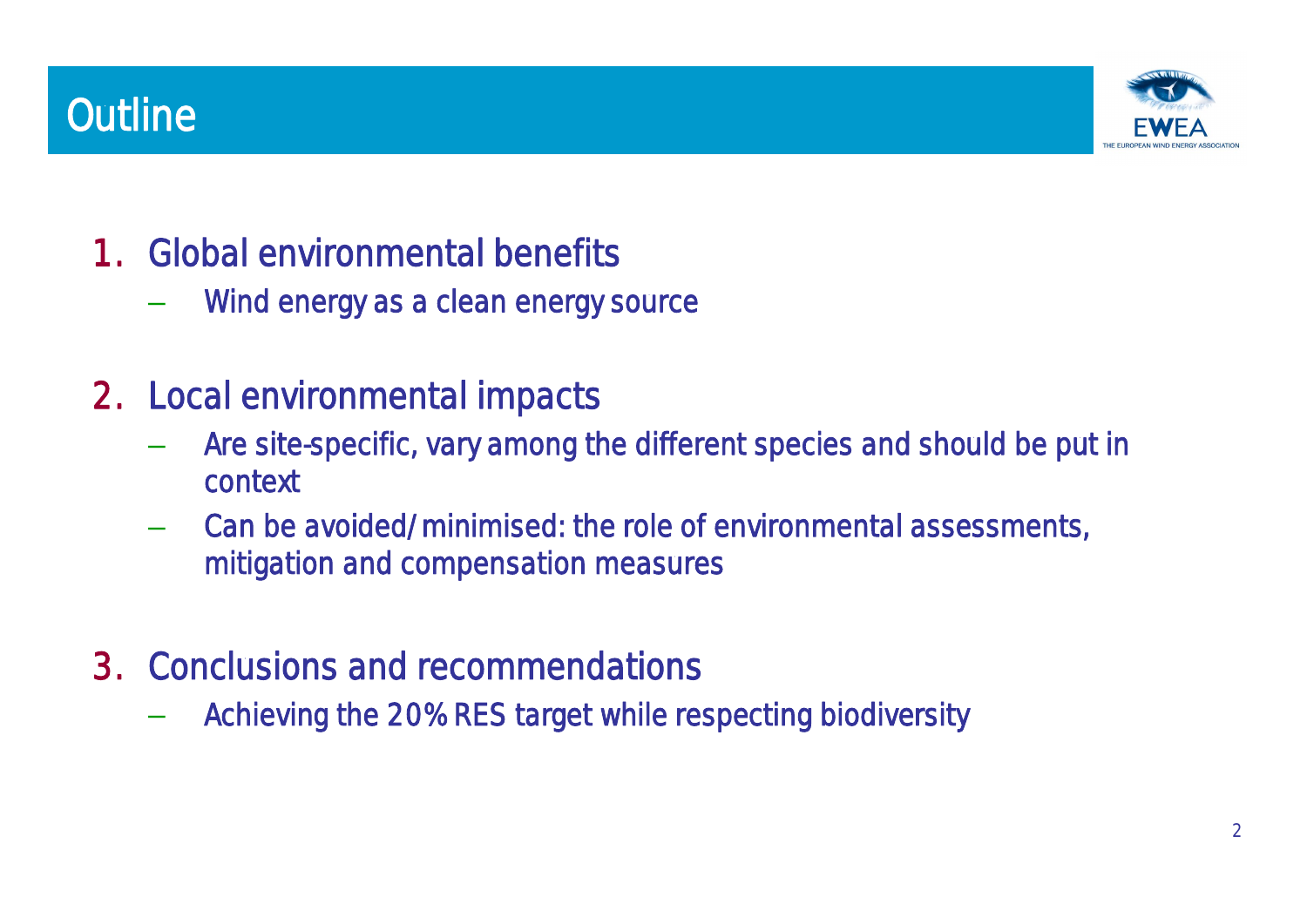# **Outline**



- 1. Global environmental benefits
	- Wind energy as a clean energy source
- 2. Local environmental impacts
	- Are site-specific, vary among the different species and should be put in context
	- Can be avoided/minimised: the role of environmental assessments, mitigation and compensation measures
- 3. Conclusions and recommendations
	- Achieving the 20% RES target while respecting biodiversity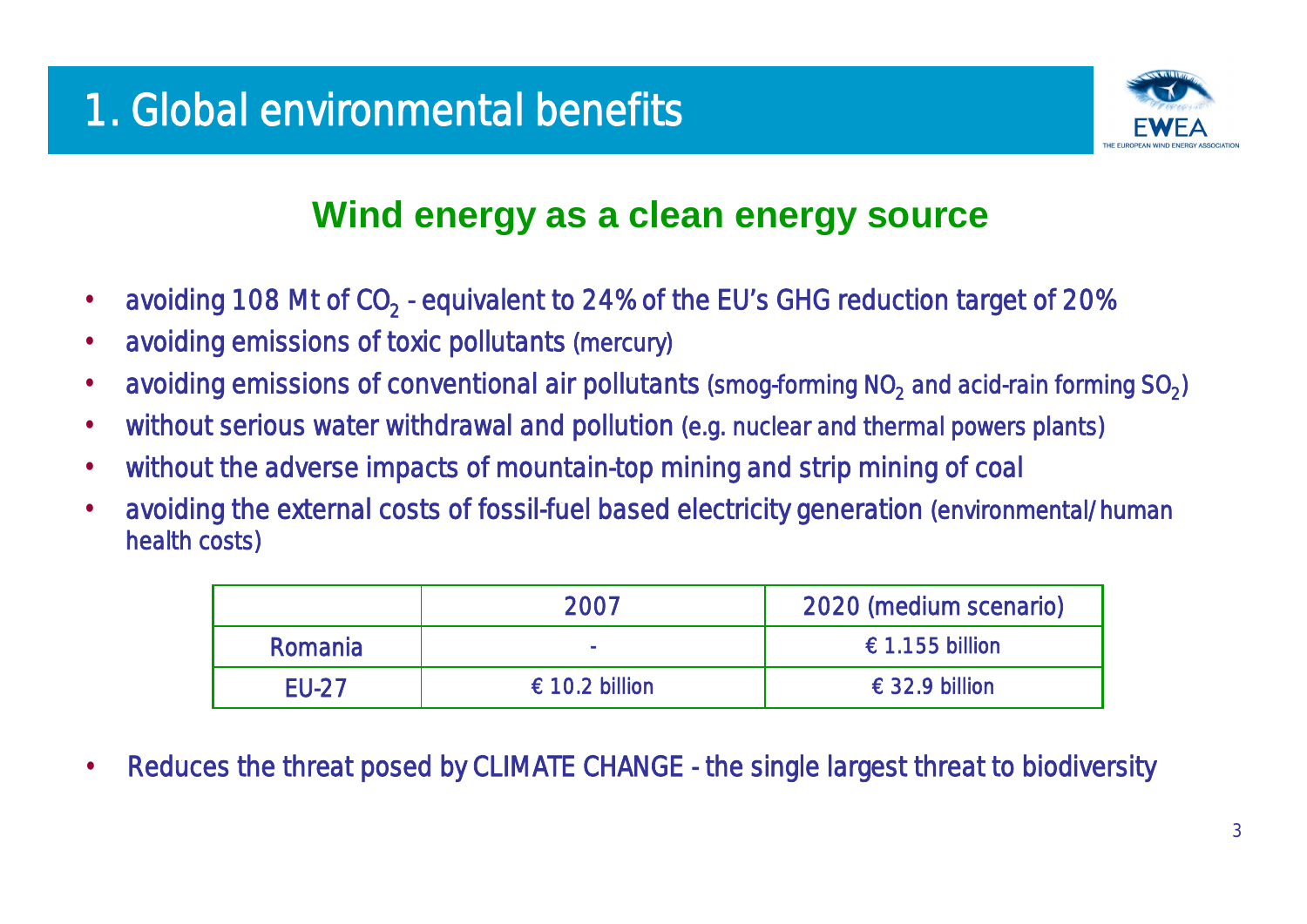

### **Wind energy as a clean energy source**

- avoiding 108 Mt of  $CO_2$  equivalent to 24% of the EU's GHG reduction target of 20%
- avoiding emissions of toxic pollutants (mercury)
- avoiding emissions of conventional air pollutants (smog-forming  $NO<sub>2</sub>$  and acid-rain forming  $SO<sub>2</sub>$ )
- without serious water withdrawal and pollution (e.g. nuclear and thermal powers plants)
- without the adverse impacts of mountain-top mining and strip mining of coal
- avoiding the external costs of fossil-fuel based electricity generation (environmental/human health costs)

|              | 2007          | 2020 (medium scenario)  |
|--------------|---------------|-------------------------|
| Romania      |               | €1.155 billion          |
| <b>EU-27</b> | €10.2 billion | $\epsilon$ 32.9 billion |

Reduces the threat posed by CLIMATE CHANGE - the single largest threat to biodiversity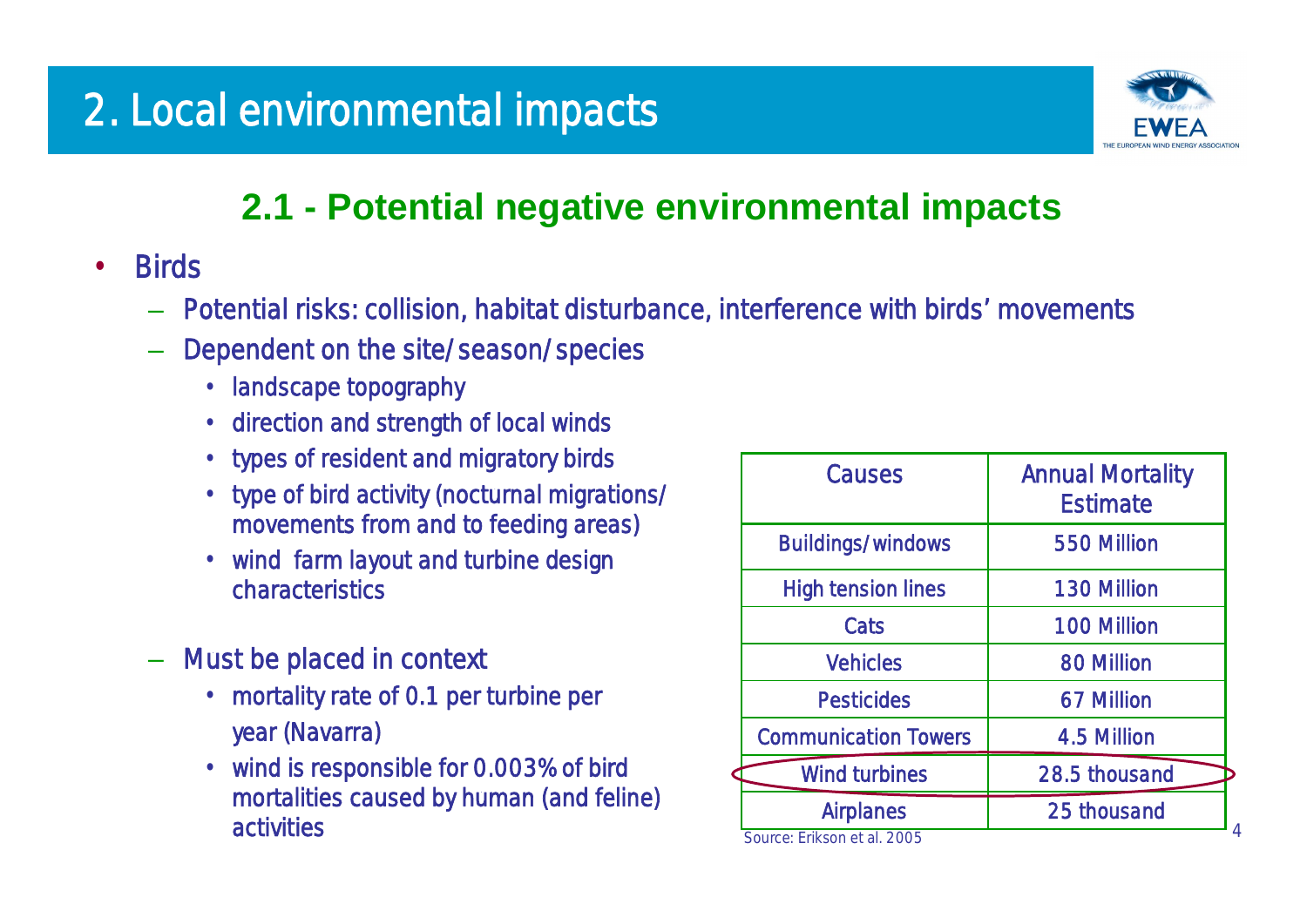

### **2.1 - Potential negative environmental impacts**

- Birds
	- Potential risks: collision, habitat disturbance, interference with birds'movements
	- Dependent on the site/season/species
		- landscape topography
		- direction and strength of local winds
		- types of resident and migratory birds
		- type of bird activity (nocturnal migrations/ movements from and to feeding areas)
		- wind farm layout and turbine design characteristics
	- Must be placed in context
		- mortality rate of 0.1 per turbine per year (Navarra)
		- wind is responsible for 0.003% of bird mortalities caused by human (and feline) activities

| <b>Causes</b>               | <b>Annual Mortality</b><br><b>Estimate</b> |
|-----------------------------|--------------------------------------------|
| <b>Buildings/windows</b>    | 550 Million                                |
| <b>High tension lines</b>   | <b>130 Million</b>                         |
| Cats                        | <b>100 Million</b>                         |
| <b>Vehicles</b>             | <b>80 Million</b>                          |
| <b>Pesticides</b>           | 67 Million                                 |
| <b>Communication Towers</b> | 4.5 Million                                |
| <b>Wind turbines</b>        | 28.5 thousand                              |
| <b>Airplanes</b>            | 25 thousand                                |
| Source: Erikson et al. 2005 |                                            |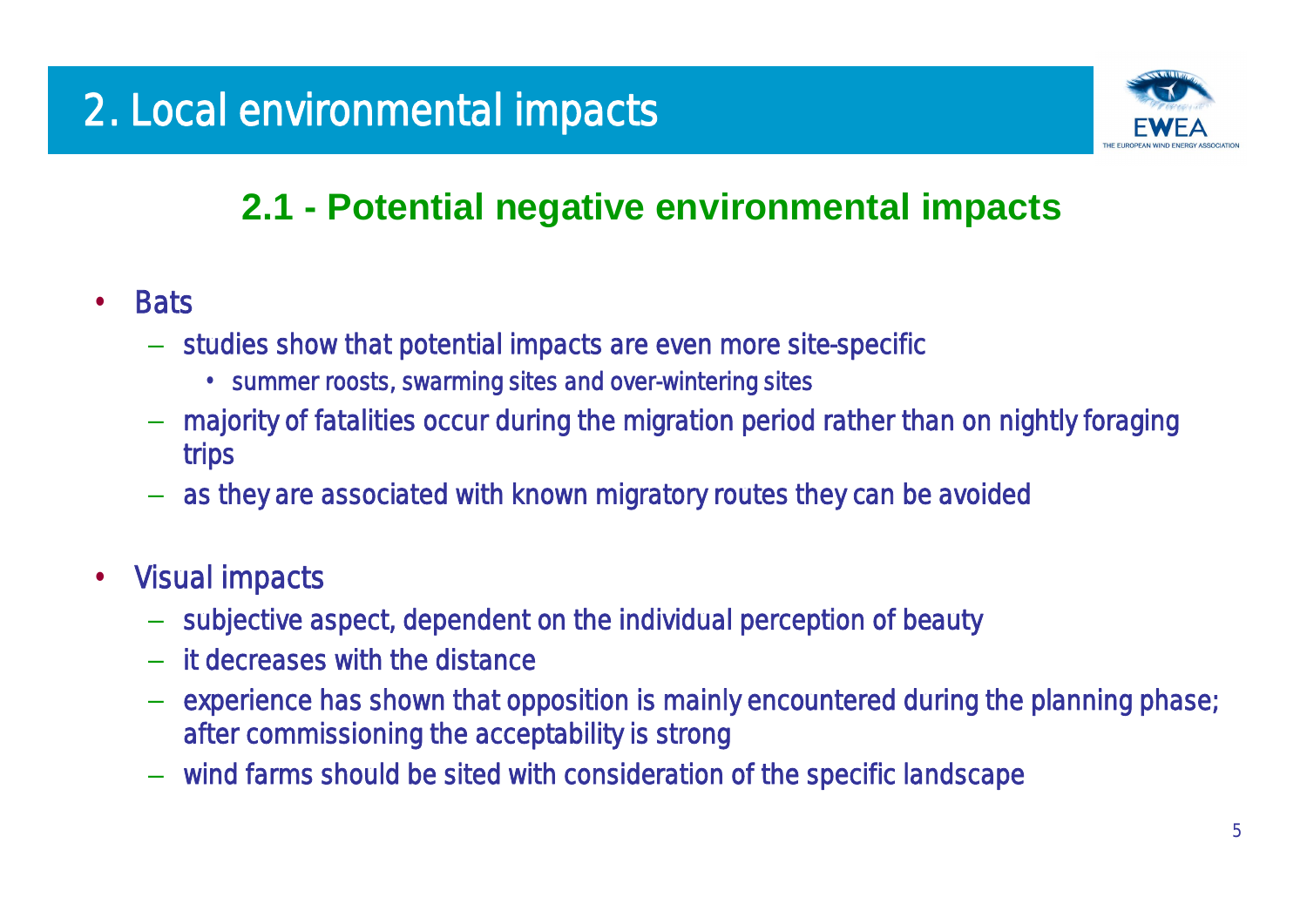

### **2.1 - Potential negative environmental impacts**

- Bats
	- studies show that potential impacts are even more site-specific
		- summer roosts, swarming sites and over-wintering sites
	- majority of fatalities occur during the migration period rather than on nightly foraging trips
	- as they are associated with known migratory routes they can be avoided
- Visual impacts
	- subjective aspect, dependent on the individual perception of beauty
	- it decreases with the distance
	- experience has shown that opposition is mainly encountered during the planning phase; after commissioning the acceptability is strong
	- wind farms should be sited with consideration of the specific landscape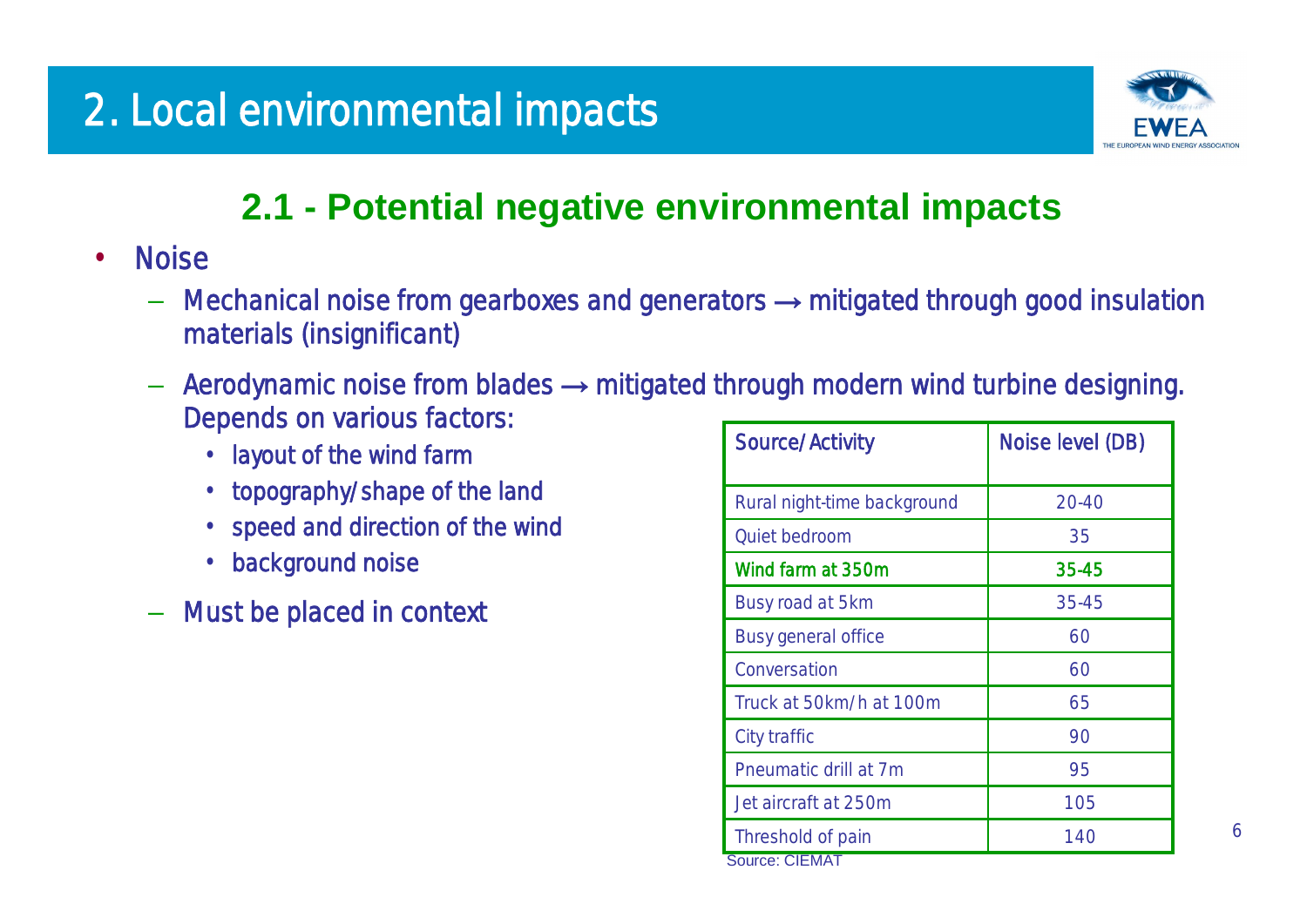

### **2.1 - Potential negative environmental impacts**

- Noise
	- $-$  Mechanical noise from gearboxes and generators  $\rightarrow$  mitigated through good insulation materials (insignificant)
	- $-$  Aerodynamic noise from blades  $\rightarrow$  mitigated through modern wind turbine designing. Depends on various factors:
		- •layout of the wind farm
		- topography/shape of the land
		- speed and direction of the wind
		- background noise
	- Must be placed in context

| <b>Source/Activity</b>      | Noise level (DB) |  |  |
|-----------------------------|------------------|--|--|
| Rural night-time background | 20-40            |  |  |
| Quiet bedroom               | 35               |  |  |
| Wind farm at 350m           | 35-45            |  |  |
| Busy road at 5km            | 35-45            |  |  |
| <b>Busy general office</b>  | 60               |  |  |
| Conversation                | 60               |  |  |
| Truck at 50km/h at 100m     | 65               |  |  |
| City traffic                | 90               |  |  |
| Pneumatic drill at 7m       | 95               |  |  |
| Jet aircraft at 250m        | 105              |  |  |
| Threshold of pain           | 140              |  |  |
| <b>Source: CIEMAT</b>       |                  |  |  |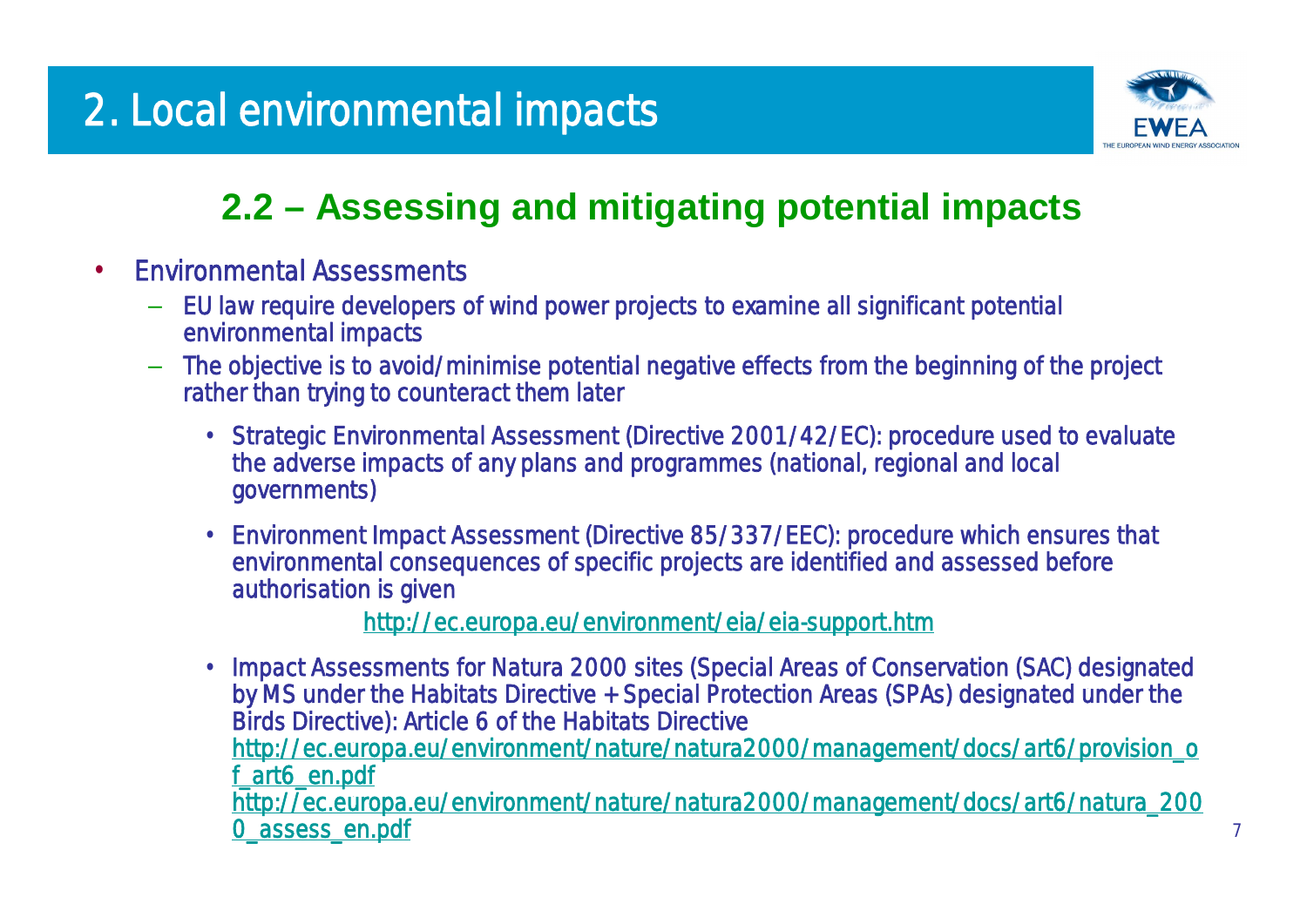

### **2.2 –Assessing and mitigating potential impacts**

- Environmental Assessments
	- EU law require developers of wind power projects to examine all significant potential environmental impacts
	- The objective is to avoid/minimise potential negative effects from the beginning of the project rather than trying to counteract them later
		- •*Strategic Environmental Assessment* (Directive 2001/42/EC): procedure used to evaluate the adverse impacts of any plans and programmes (national, regional and local governments)
		- •*Environment Impact Assessment* (Directive 85/337/EEC): procedure which ensures that environmental consequences of specific projects are identified and assessed before authorisation is given

<http://ec.europa.eu/environment/eia/eia-support.htm>

•*Impact Assessments for Natura 2000 sites (*Special Areas of Conservation (SAC) designated by MS under the Habitats Directive + Special Protection Areas (SPAs) designated under the Birds Directive): Article 6 of the Habitats Directive [http://ec.europa.eu/environment/nature/natura2000/management/docs/art6/provision\\_o](http://ec.europa.eu/environment/nature/natura2000/management/docs/art6/provision_o) f\_art6\_en.pdf [http://ec.europa.eu/environment/nature/natura2000/management/docs/art6/natura\\_200](http://ec.europa.eu/environment/nature/natura2000/management/docs/art6/natura_200) 0\_assess\_en.pdf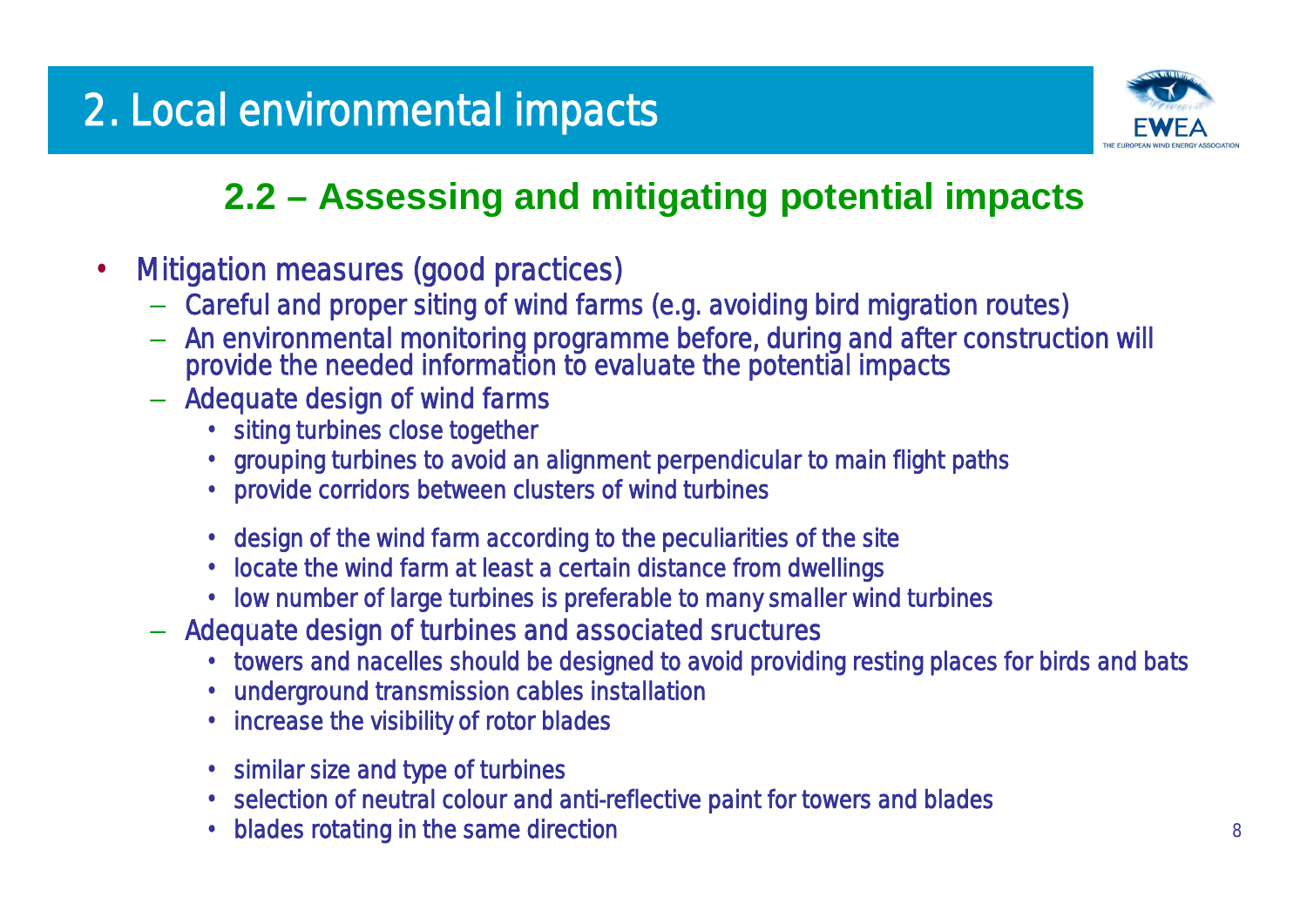

# **2.2 –Assessing and mitigating potential impacts**

- Mitigation measures (good practices)
	- Careful and proper siting of wind farms (e.g. avoiding bird migration routes)
	- An environmental monitoring programme before, during and after construction will provide the needed information to evaluate the potential impacts
	- Adequate design of wind farms
		- siting turbines close together
		- •grouping turbines to avoid an alignment perpendicular to main flight paths
		- provide corridors between clusters of wind turbines
		- •design of the wind farm according to the peculiarities of the site
		- •locate the wind farm at least a certain distance from dwellings
		- •low number of large turbines is preferable to many smaller wind turbines
	- Adequate design of turbines and associated sructures
		- towers and nacelles should be designed to avoid providing resting places for birds and bats
		- •underground transmission cables installation
		- •increase the visibility of rotor blades
		- similar size and type of turbines
		- •selection of neutral colour and anti-reflective paint for towers and blades
		- •blades rotating in the same direction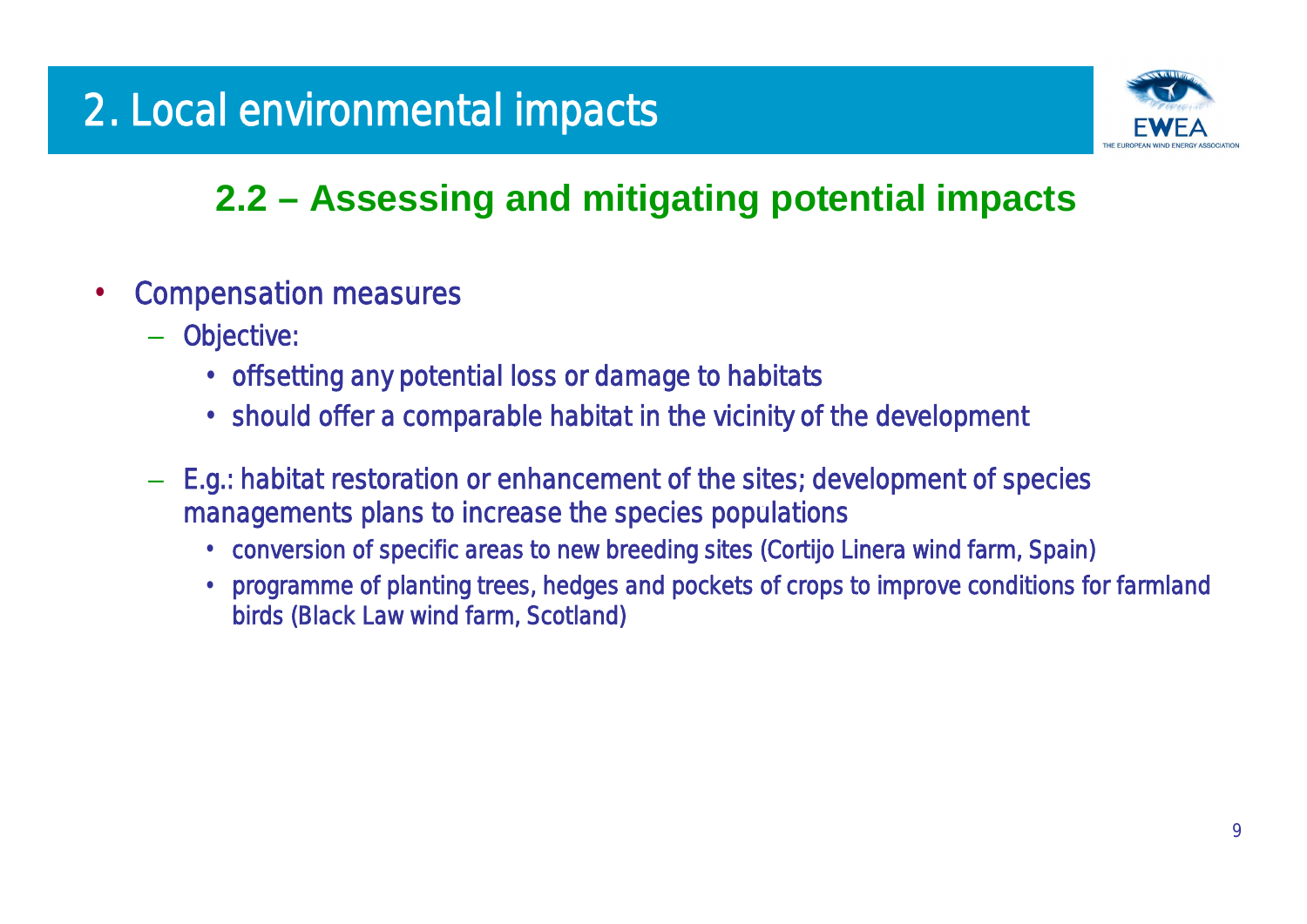# 2. Local environmental impacts

# **2.2 –Assessing and mitigating potential impacts**

- Compensation measures
	- Objective:
		- offsetting any potential loss or damage to habitats
		- should offer a comparable habitat in the vicinity of the development
	- E.g.: habitat restoration or enhancement of the sites; development of species managements plans to increase the species populations
		- •conversion of specific areas to new breeding sites (Cortijo Linera wind farm, Spain)
		- programme of planting trees, hedges and pockets of crops to improve conditions for farmland birds (Black Law wind farm, Scotland)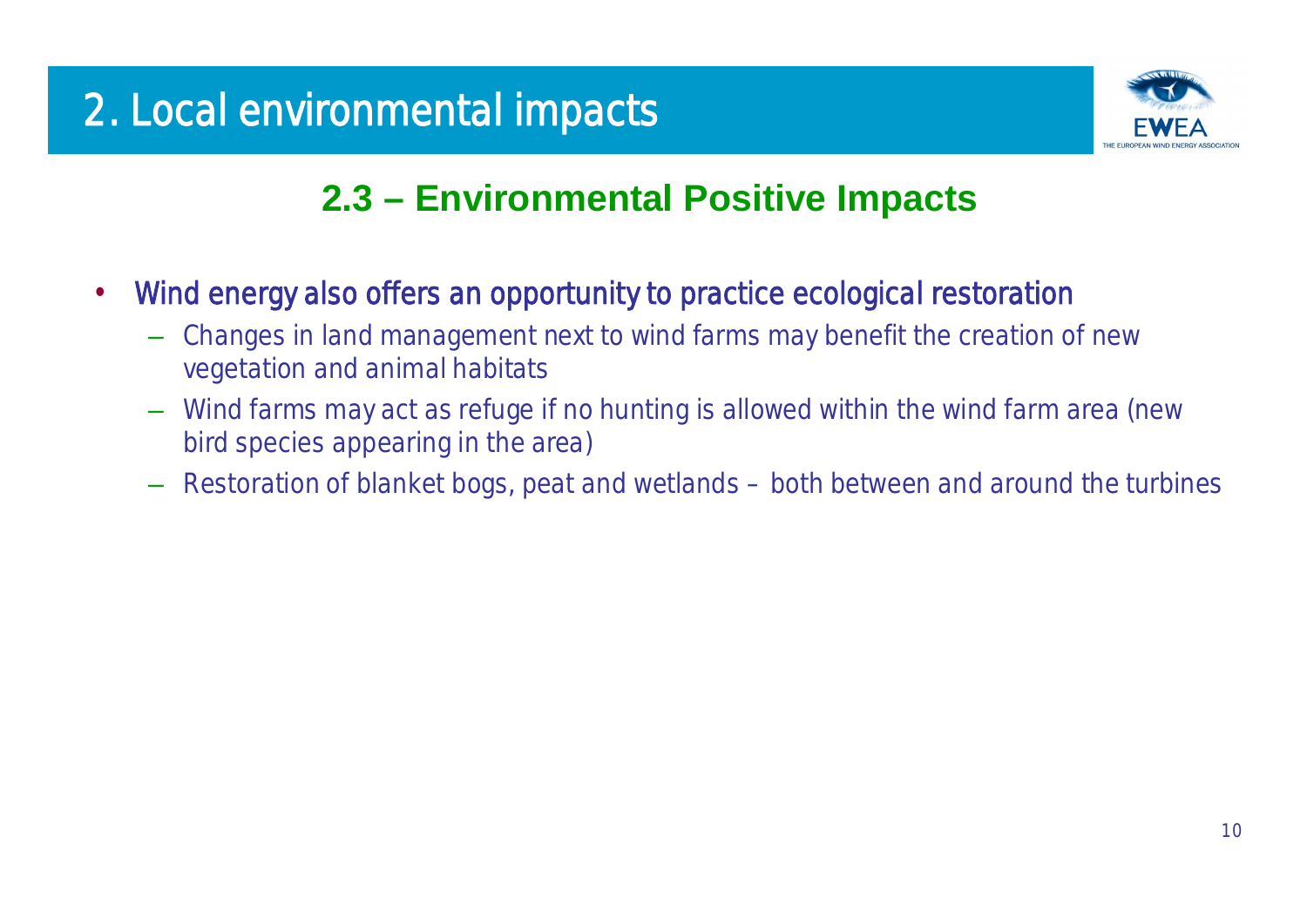

### **2.3 –Environmental Positive Impacts**

- Wind energy also offers an opportunity to practice ecological restoration
	- Changes in land management next to wind farms may benefit the creation of new vegetation and animal habitats
	- Wind farms may act as refuge if no hunting is allowed within the wind farm area (new bird species appearing in the area)
	- Restoration of blanket bogs, peat and wetlands both between and around the turbines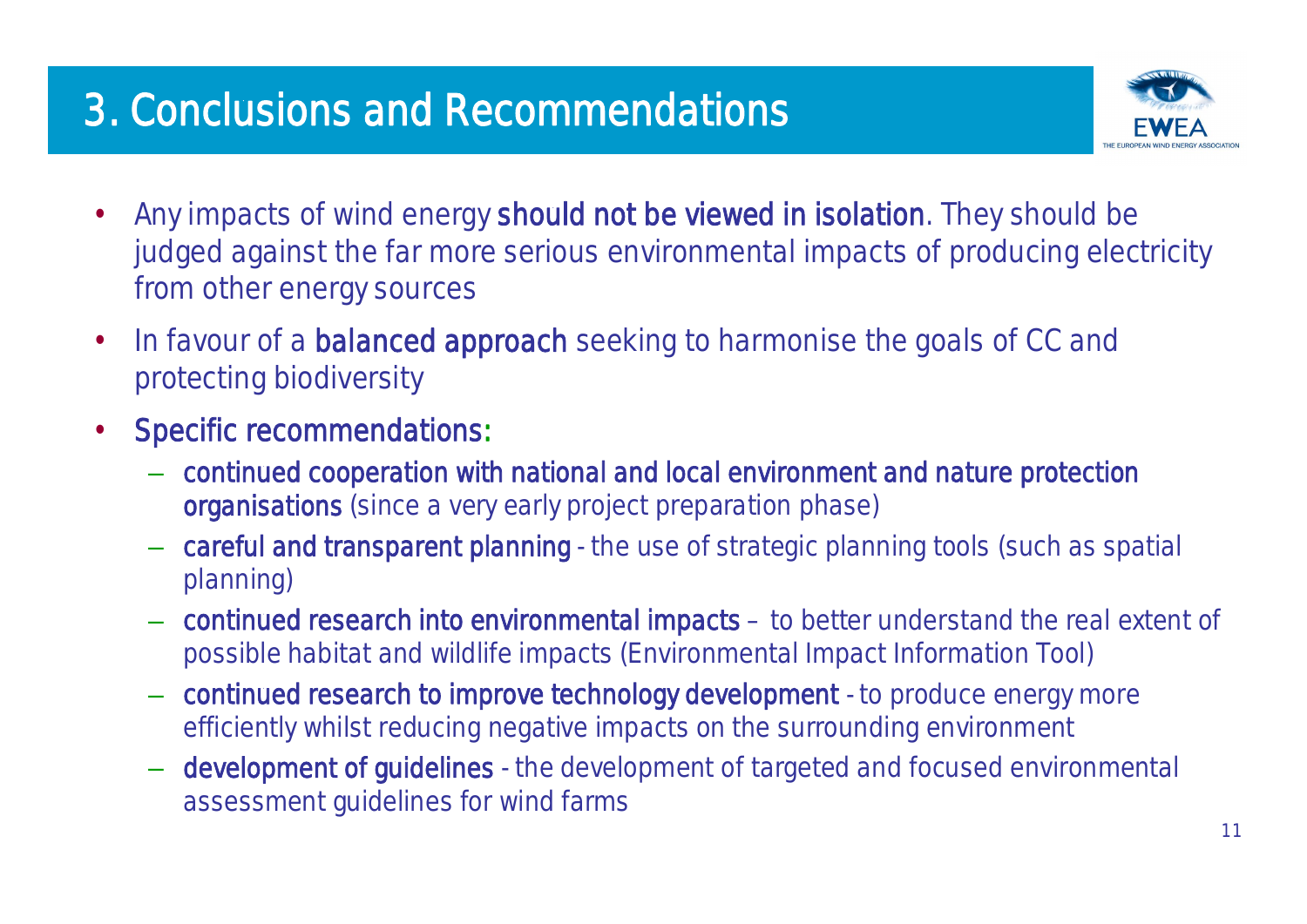# 3. Conclusions and Recommendations



- Any impacts of wind energy should not be viewed in isolation. They should be judged against the far more serious environmental impacts of producing electricity from other energy sources
- In favour of a **balanced approach** seeking to harmonise the goals of CC and protecting biodiversity
- Specific recommendations:
	- continued cooperation with national and local environment and nature protection organisations (since a very early project preparation phase)
	- careful and transparent planning the use of strategic planning tools (such as spatial planning)
	- continued research into environmental impacts –to better understand the real extent of possible habitat and wildlife impacts (Environmental Impact Information Tool)
	- continued research to improve technology development to produce energy more efficiently whilst reducing negative impacts on the surrounding environment
	- development of guidelines the development of targeted and focused environmental assessment guidelines for wind farms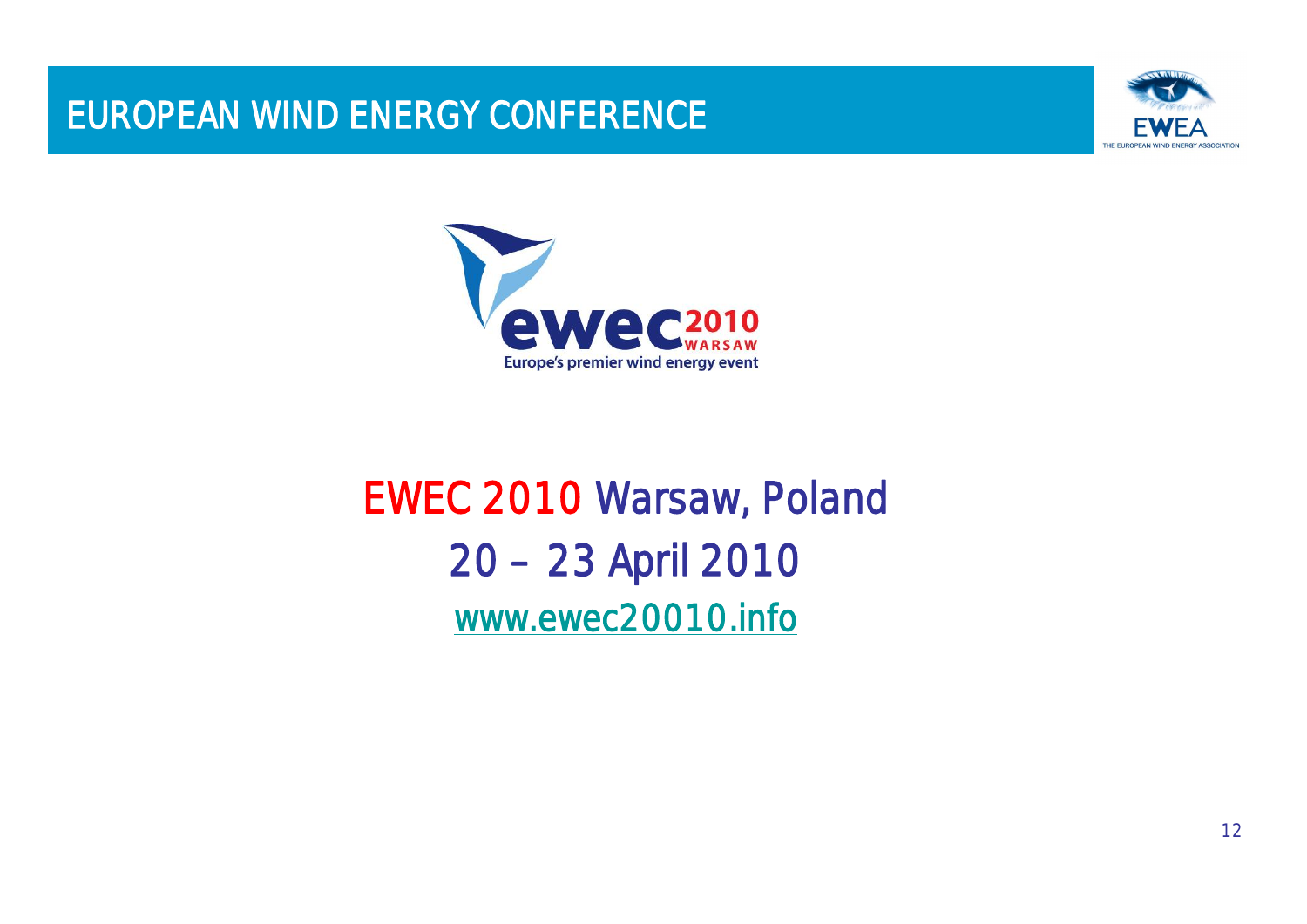### EUROPEAN WIND ENERGY CONFERENCE





# EWEC 2010 Warsaw, Poland 20 –23 April 2010 [www.ewec20010.info](http://www.ewec20010.info)